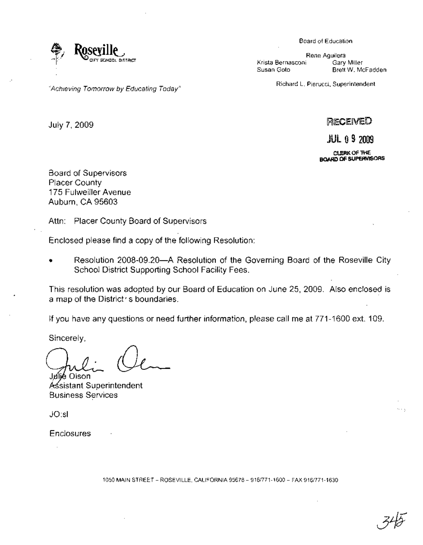

Rene Aguilera Krista Bernasconi Gary Miller<br>Susan Goto Brett W. Mo Brett W. McFadden

Richard L. Pierucci, Superintendent

July 7,2009

RECENED

**JUL 09 2009** 

CLERK OF THE I80ARD OF SUPERVISORS

Board of Supervisors Placer County 175 Fulweiller Avenue Auburn, CA 95603

Attn: Placer County Board of Supervisors

"Achieving Tomorrow by Educating Today"

Enclosed please find a copy of the following Resolution:

Resolution 2008-09.20--A Resolution of the Governing Board of the Roseville City School District Supporting School Facility Fees.

This resolution was adopted by our Board of Education on June 25,2009. Also enclosed is a map of the District's boundaries.

If you have any questions or need further information, please call me at 771-1600 ext. 109.

Sincerely,

Jnílie Olson

Assistant Superintendent Business Services

JO:sl

**Enclosures** 

1050 MAIN STREET - ROSEVILLE, CALIFORNIA 95678 - 916/771-1600 - FAX 916/771-1630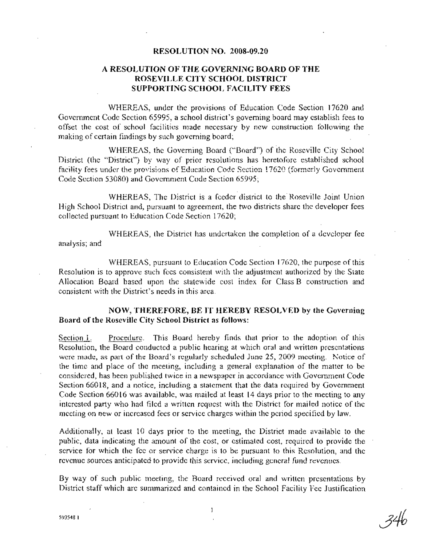## RESOLUTIONNO. 2008-09.20

## A RESOLUTION OF THE GOVERNING BOARD OF THE . ROSEVILLE CITY SCHOOL DISTRICT SUPPORTING SCHOOL FACILITY FEES

WHEREAS, under the provisions of Education Code Section 17620 and Government Code Section 65995, a school district's governing board may establish fees to offset the cost of school. facilities made necessary by new construction following the making of certain findings by such governing board;

WHEREAS, the Governing Board ("Board") of the Roseville City School District (the "District") by way of prior resolutions has heretofore established school facility fees under the provisions of Education Code Section 17620 (formerly Government Code Section 53080) and Government Code Section 65995;

WHEREAS, The District is a feeder district to the Roseville Joint Union High School District and, pursuant to agreement, the two districts share the developer fees collected pursuant to Education Code Section 17620;

WHEREAS, the District has undertaken the completion of a developer fee analysis; and

WHEREAS, pursuant to Education Code Section 17620, the purpose of this Resolution is to approve such fees consistent with the adjustment authorized by the State Allocation Board based upon the statewide cost index for Class B construction and consistent with the District's needs in this area.

## NOW, THEREFORE, BE IT HEREBY RESOLVED by the Governing Board of the Roseville City School District as follows:

Section 1. Procedure. This Board hereby finds that prior to the adoption of this Resolution, the Board conducted a public hearing at which oral and written presentations were made, as part of the Board's regularly scheduled June 25, 2009 meeting. Notice of the time and place of the meeting, including a general explanation of the matter to be considered, has been published twice in a newspaper in accordance with Government Code Section 66018, and a notice, including a statement that the data required by Government Code Section 66016 was available, was mailed at least 14 days prior to the meeting to any interested party who had filed a written request with the District for mailed notice of the meeting on new or increased fees or service charges within the period specified by law.

Additionally, at least 10 days prior to the meeting, the District made available to the public, data indicating the amount of the cost, or estimated cost, required to provide the service for which the fee or service charge is to be pursuant to this Resolution, and the revenue sources anticipated to provide this service, including general fund revenues.

By way of such public meeting, the Board received oral and written presentations by District staff which are summarized and contained in the School Facility Fee Justification

34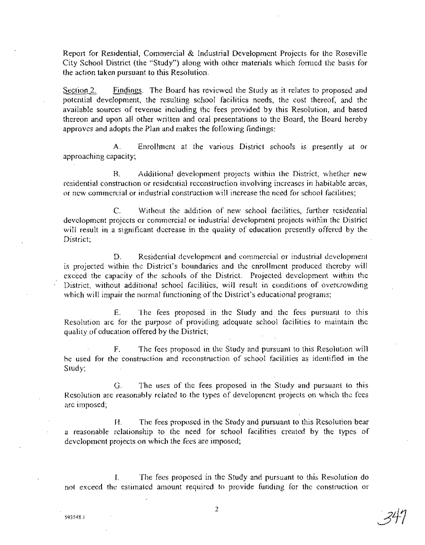Report for Residential, Commercial & Industrial Development Projects for the Roseville City School District (the "Study") along with other materials which formed the basis for the action taken pursuant to this Resolution.

Section 2. Findings. The Board has reviewed the Study as it relates to proposed and potential development, the resulting school facilities needs, the cost thereof, and, the available sources of revenue including the fees provided by this Resolution, and based thereon and upon all other written and oral presentations to the Board, the Board hereby approves'and adopts the Plan and makes the following findings:

A. Enrollment at the various District schools IS presently at or approaching capacity;

B. Additional development projects within the District, whether new residential construction or residential reconstruction involving increases in habitable areas, or new commercial or industrial construction will increase the need for school facilities;

C. Without the addition of new school facilities, further residential development projects or commercial or industrial development projects within the District will result in a significant decrease in the quality of education presently offered by the District;

D. Residential development and commercial or industrial development is projected within the District's boundaries and the enrollment produced thereby will exceed the capacity of the schools of the District. Projected development within the District, without additional school facilities, will result in conditions of overcrowding which will impair the normal functioning of the District's educational programs;

E. The fees proposed in the Study and, the fees pursuant to this Resolution are for the purpose of providing adequate school facilities to maintain the quality of education offered by the District;

F. The fees proposed in the Study and pursuant to this Resolution will be used for the construction and reconstruction of school facilities as identified in the Study;

G. The uses of the fees proposed in the Study and pursuant to this Resolution are reasonably related to the types of development projects on which the fees are imposed;

H. The fees proposed in the Study and pursuant to this Resolution bear a reasonable relationship to the need for school facilities' created by the types of development projects on which the fees are imposed;

1. The fees proposed in the Study and pursuant to this Resolution do not exceed the estimated amount required to provide funding for· the construction or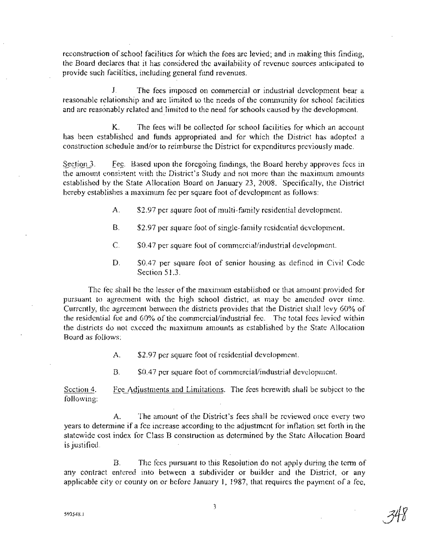reconstruction of school facilities for which the fees are levied; and in making this finding, the Board declares that it has considered the availability of revenue sources anticipated to provide such facilities, including general fund revenues.

J. . The fees imposed on commercial or industrial development bear a reasonable relationship and are limited to the needs of the community for school facilities and are reasonably related and limited to the need for schools caused by the development.

K. The fees will be collected for school facilities for which an account has been established and funds appropriated and for which the District has adopted a construction schedule and/or to reimburse the District for expenditures previously made.

Section 3. Fee. Based upon the foregoing findings, the Board hereby approves fees in the amount consistent with the District's Study and not more than the maximum amounts established by the State Allocation Board on January 23, 2008. Specifically, the District hereby establishes a maximum fee per square foot of development as follows:

- A.  $$2.97$  per square foot of multi-family residential development.
- B. \$2.97 per square foot of single-family residential development.
- C.  $$0.47$  per square foot of commercial/industrial development.
- D.  $50.47$  per square foot of senior housing as defined in Civil Code Section 51.3.

The fee shall be the lesser of the maximum established or that amount provided for pursuant to agreement with the high school district, as may be amended over time. Currently, the agreement between the districts provides that the District shall levy 60% of the residential fee and 60% of the commerciaVindustrial fee. The total fees levied within the districts do not exceed the maximum amounts as established by the State Allocation Board as follows:

A. \$2.97 per square foot ofresidential development.

B.  $$0.47$  per square foot of commercial/industrial development.

Section 4. following: Fee Adjustments and Limitations. The fees herewith shall be subject to the

A. The amount of the District's fees shall be reviewed once every two years to determine if a fee increase according to the adjustment for inflation set forth in the statewide cost index for Class B construction as determined by the State Allocation Board· is justified.

B. The fees pursuant to this Resolution do not apply during the term of any contract. entered into between a subdivider or builder and the District, or any applicable city or county on or before January 1, 1987, that requires the payment of a fee,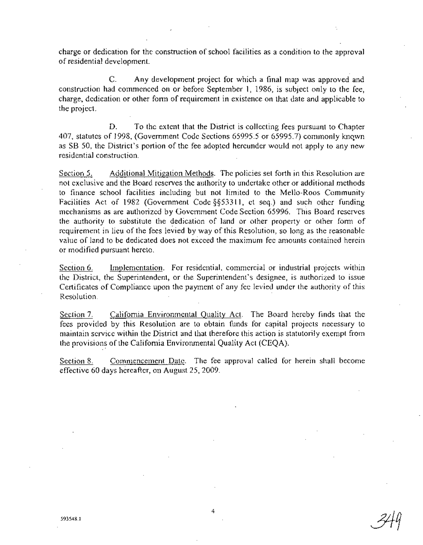charge or dedication for the construction of school facilities as a condition to the approval ofresidential development.

C. Any development project for which a final map was approved and construction had commenced on or before September 1, 1986, is subject only to the fee, charge, dedication or other form of requirement in existence on that date and applicable to the project. .

D. To the extent that the District is collecting fees pursuant to Chapter 407, statutes of 1998, (Government Code Sections 65995.5 or 65995.7) commonly knqwn as SB 50, the District's portion of the fee adopted hereunder would not apply to any new residential construction.

Section 5. Additional Mitigation Methods. The policies set forth in this Resolution are not exclusive and the Board reserves the authority to undertake other or additional methods to finance school facilities including but not limited to the Mello-Roos Community Facilities Act of 1982 (Government Code §§53311, et seq.) and such other funding mechanisms as are authorized by Government Code Section 65996. This Board reserves the authority to substitute the dedication of land or other property or other form of requirement in lieu of the fees levied by way of this Resolution, so long as the reasonable value of land to be dedicated does not exceed the maximum fee amounts contained herein or modified pursuant hereto.

Section 6. Implementation. For residential, commercial or industrial projects within the District, the Superintendent, or the Superintendent's designee, is authorized to issue Certificates of Compliance upon the payment of any fee levied under the authority of this Resolution.

Section 7. California Environmental Quality Act. The Board hereby finds that the fees provided by this Resolution are to obtain funds for capital projects necessary to maintain service within the District and that therefore this action is statutorily exempt from the provisions of the California Environmental Quality Act (CEQA).

Section 8. Commencement Date. The fee approval called for herein shall become effective 60 days hereaftet, on August 25, 2009.

4